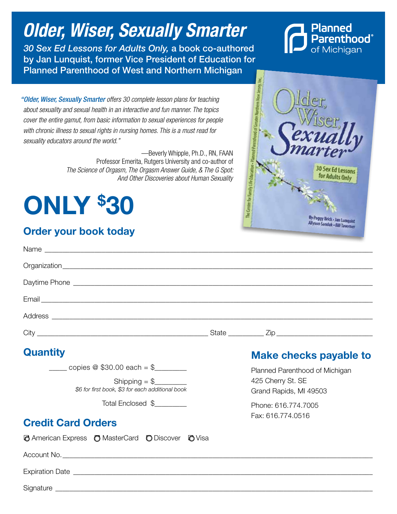# *Older, Wiser, Sexually Smarter*

*30 Sex Ed Lessons for Adults Only,* a book co-authored by Jan Lunquist, former Vice President of Education for Planned Parenthood of West and Northern Michigan



*"Older, Wiser, Sexually Smarter offers 30 complete lesson plans for teaching about sexuality and sexual health in an interactive and fun manner. The topics cover the entire gamut, from basic information to sexual experiences for people with chronic illness to sexual rights in nursing homes. This is a must read for sexuality educators around the world."*

> —Beverly Whipple, Ph.D., RN, FAAN Professor Emerita, Rutgers University and co-author of *The Science of Orgasm, The Orgasm Answer Guide, & The G Spot: And Other Discoveries about Human Sexuality*

# Only \$ 30

# Order your book today



| <b>Quantity</b>                                          | <b>Make checks payable to</b>               |
|----------------------------------------------------------|---------------------------------------------|
| $\frac{1}{2}$ copies @ \$30.00 each = \$                 | Planned Parenthood of Michigan              |
| \$6 for first book, \$3 for each additional book         | 425 Cherry St. SE<br>Grand Rapids, MI 49503 |
| Total Enclosed \$                                        | Phone: 616.774.7005                         |
| <b>Credit Card Orders</b>                                | Fax: 616.774.0516                           |
| <b>@</b> American Express @ MasterCard @ Discover @ Visa |                                             |
|                                                          |                                             |
|                                                          |                                             |
|                                                          |                                             |